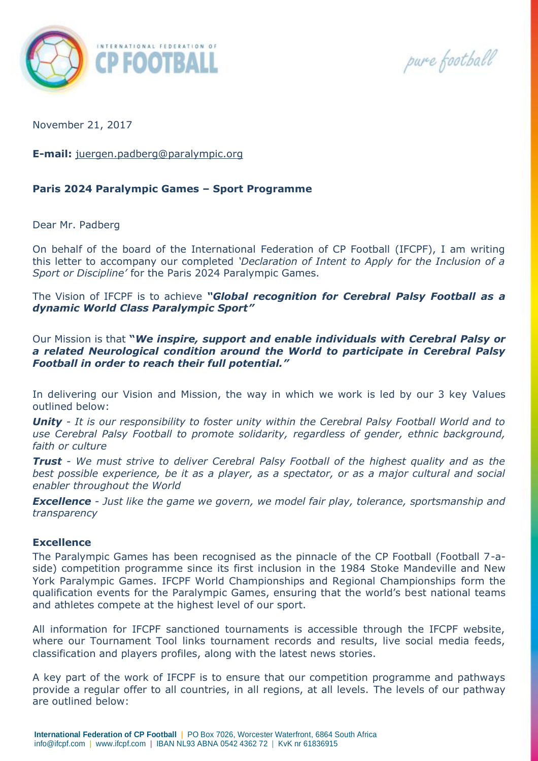

pure football

November 21, 2017

**E-mail:** [juergen.padberg@paralympic.org](mailto:juergen.padberg@paralympic.org)

# **Paris 2024 Paralympic Games – Sport Programme**

Dear Mr. Padberg

On behalf of the board of the International Federation of CP Football (IFCPF), I am writing this letter to accompany our completed *'Declaration of Intent to Apply for the Inclusion of a Sport or Discipline'* for the Paris 2024 Paralympic Games.

The Vision of IFCPF is to achieve *"Global recognition for Cerebral Palsy Football as a dynamic World Class Paralympic Sport"*

Our Mission is that **"***We inspire, support and enable individuals with Cerebral Palsy or a related Neurological condition around the World to participate in Cerebral Palsy Football in order to reach their full potential."*

In delivering our Vision and Mission, the way in which we work is led by our 3 key Values outlined below:

*Unity - It is our responsibility to foster unity within the Cerebral Palsy Football World and to use Cerebral Palsy Football to promote solidarity, regardless of gender, ethnic background, faith or culture*

*Trust - We must strive to deliver Cerebral Palsy Football of the highest quality and as the best possible experience, be it as a player, as a spectator, or as a major cultural and social enabler throughout the World*

*Excellence - Just like the game we govern, we model fair play, tolerance, sportsmanship and transparency*

#### **Excellence**

The Paralympic Games has been recognised as the pinnacle of the CP Football (Football 7-aside) competition programme since its first inclusion in the 1984 Stoke Mandeville and New York Paralympic Games. IFCPF World Championships and Regional Championships form the qualification events for the Paralympic Games, ensuring that the world's best national teams and athletes compete at the highest level of our sport.

All information for IFCPF sanctioned tournaments is accessible through the IFCPF website, where our Tournament Tool links tournament records and results, live social media feeds, classification and players profiles, along with the latest news stories.

A key part of the work of IFCPF is to ensure that our competition programme and pathways provide a regular offer to all countries, in all regions, at all levels. The levels of our pathway are outlined below: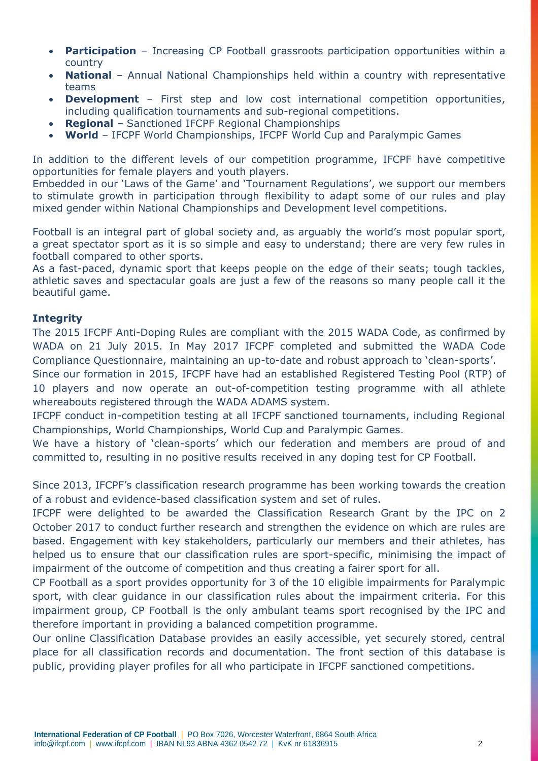- **Participation** Increasing CP Football grassroots participation opportunities within a country
- **National** Annual National Championships held within a country with representative teams
- **Development** First step and low cost international competition opportunities, including qualification tournaments and sub-regional competitions.
- **Regional** Sanctioned IFCPF Regional Championships
- **World** IFCPF World Championships, IFCPF World Cup and Paralympic Games

In addition to the different levels of our competition programme, IFCPF have competitive opportunities for female players and youth players.

Embedded in our 'Laws of the Game' and 'Tournament Regulations', we support our members to stimulate growth in participation through flexibility to adapt some of our rules and play mixed gender within National Championships and Development level competitions.

Football is an integral part of global society and, as arguably the world's most popular sport, a great spectator sport as it is so simple and easy to understand; there are very few rules in football compared to other sports.

As a fast-paced, dynamic sport that keeps people on the edge of their seats; tough tackles, athletic saves and spectacular goals are just a few of the reasons so many people call it the beautiful game.

# **Integrity**

The 2015 IFCPF Anti-Doping Rules are compliant with the 2015 WADA Code, as confirmed by WADA on 21 July 2015. In May 2017 IFCPF completed and submitted the WADA Code Compliance Questionnaire, maintaining an up-to-date and robust approach to 'clean-sports'.

Since our formation in 2015, IFCPF have had an established Registered Testing Pool (RTP) of 10 players and now operate an out-of-competition testing programme with all athlete whereabouts registered through the WADA ADAMS system.

IFCPF conduct in-competition testing at all IFCPF sanctioned tournaments, including Regional Championships, World Championships, World Cup and Paralympic Games.

We have a history of 'clean-sports' which our federation and members are proud of and committed to, resulting in no positive results received in any doping test for CP Football.

Since 2013, IFCPF's classification research programme has been working towards the creation of a robust and evidence-based classification system and set of rules.

IFCPF were delighted to be awarded the Classification Research Grant by the IPC on 2 October 2017 to conduct further research and strengthen the evidence on which are rules are based. Engagement with key stakeholders, particularly our members and their athletes, has helped us to ensure that our classification rules are sport-specific, minimising the impact of impairment of the outcome of competition and thus creating a fairer sport for all.

CP Football as a sport provides opportunity for 3 of the 10 eligible impairments for Paralympic sport, with clear guidance in our classification rules about the impairment criteria. For this impairment group, CP Football is the only ambulant teams sport recognised by the IPC and therefore important in providing a balanced competition programme.

Our online Classification Database provides an easily accessible, yet securely stored, central place for all classification records and documentation. The front section of this database is public, providing player profiles for all who participate in IFCPF sanctioned competitions.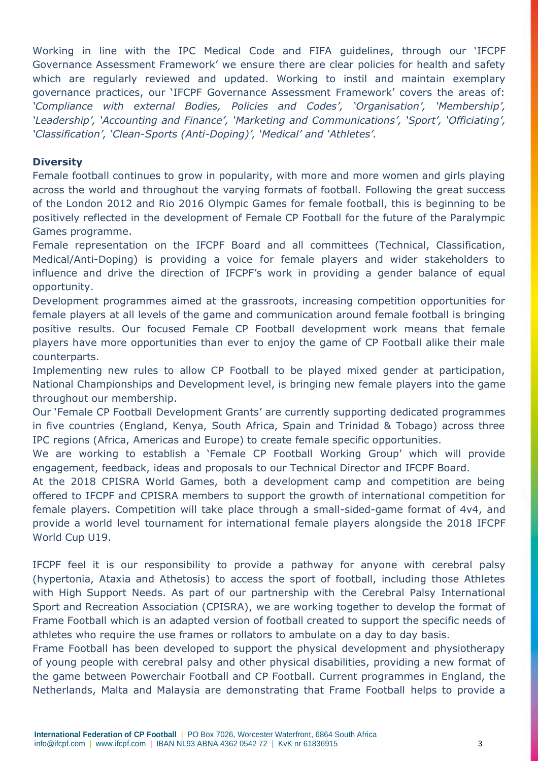Working in line with the IPC Medical Code and FIFA guidelines, through our 'IFCPF Governance Assessment Framework' we ensure there are clear policies for health and safety which are regularly reviewed and updated. Working to instil and maintain exemplary governance practices, our 'IFCPF Governance Assessment Framework' covers the areas of: *'Compliance with external Bodies, Policies and Codes', 'Organisation', 'Membership', 'Leadership', 'Accounting and Finance', 'Marketing and Communications', 'Sport', 'Officiating', 'Classification', 'Clean-Sports (Anti-Doping)', 'Medical' and 'Athletes'.*

### **Diversity**

Female football continues to grow in popularity, with more and more women and girls playing across the world and throughout the varying formats of football. Following the great success of the London 2012 and Rio 2016 Olympic Games for female football, this is beginning to be positively reflected in the development of Female CP Football for the future of the Paralympic Games programme.

Female representation on the IFCPF Board and all committees (Technical, Classification, Medical/Anti-Doping) is providing a voice for female players and wider stakeholders to influence and drive the direction of IFCPF's work in providing a gender balance of equal opportunity.

Development programmes aimed at the grassroots, increasing competition opportunities for female players at all levels of the game and communication around female football is bringing positive results. Our focused Female CP Football development work means that female players have more opportunities than ever to enjoy the game of CP Football alike their male counterparts.

Implementing new rules to allow CP Football to be played mixed gender at participation, National Championships and Development level, is bringing new female players into the game throughout our membership.

Our 'Female CP Football Development Grants' are currently supporting dedicated programmes in five countries (England, Kenya, South Africa, Spain and Trinidad & Tobago) across three IPC regions (Africa, Americas and Europe) to create female specific opportunities.

We are working to establish a 'Female CP Football Working Group' which will provide engagement, feedback, ideas and proposals to our Technical Director and IFCPF Board.

At the 2018 CPISRA World Games, both a development camp and competition are being offered to IFCPF and CPISRA members to support the growth of international competition for female players. Competition will take place through a small-sided-game format of 4v4, and provide a world level tournament for international female players alongside the 2018 IFCPF World Cup U19.

IFCPF feel it is our responsibility to provide a pathway for anyone with cerebral palsy (hypertonia, Ataxia and Athetosis) to access the sport of football, including those Athletes with High Support Needs. As part of our partnership with the Cerebral Palsy International Sport and Recreation Association (CPISRA), we are working together to develop the format of Frame Football which is an adapted version of football created to support the specific needs of athletes who require the use frames or rollators to ambulate on a day to day basis.

Frame Football has been developed to support the physical development and physiotherapy of young people with cerebral palsy and other physical disabilities, providing a new format of the game between Powerchair Football and CP Football. Current programmes in England, the Netherlands, Malta and Malaysia are demonstrating that Frame Football helps to provide a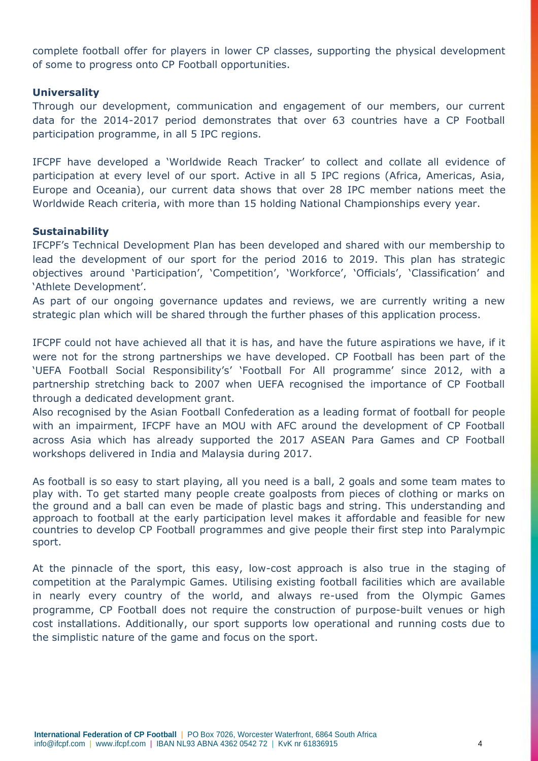complete football offer for players in lower CP classes, supporting the physical development of some to progress onto CP Football opportunities.

### **Universality**

Through our development, communication and engagement of our members, our current data for the 2014-2017 period demonstrates that over 63 countries have a CP Football participation programme, in all 5 IPC regions.

IFCPF have developed a 'Worldwide Reach Tracker' to collect and collate all evidence of participation at every level of our sport. Active in all 5 IPC regions (Africa, Americas, Asia, Europe and Oceania), our current data shows that over 28 IPC member nations meet the Worldwide Reach criteria, with more than 15 holding National Championships every year.

## **Sustainability**

IFCPF's Technical Development Plan has been developed and shared with our membership to lead the development of our sport for the period 2016 to 2019. This plan has strategic objectives around 'Participation', 'Competition', 'Workforce', 'Officials', 'Classification' and 'Athlete Development'.

As part of our ongoing governance updates and reviews, we are currently writing a new strategic plan which will be shared through the further phases of this application process.

IFCPF could not have achieved all that it is has, and have the future aspirations we have, if it were not for the strong partnerships we have developed. CP Football has been part of the 'UEFA Football Social Responsibility's' 'Football For All programme' since 2012, with a partnership stretching back to 2007 when UEFA recognised the importance of CP Football through a dedicated development grant.

Also recognised by the Asian Football Confederation as a leading format of football for people with an impairment, IFCPF have an MOU with AFC around the development of CP Football across Asia which has already supported the 2017 ASEAN Para Games and CP Football workshops delivered in India and Malaysia during 2017.

As football is so easy to start playing, all you need is a ball, 2 goals and some team mates to play with. To get started many people create goalposts from pieces of clothing or marks on the ground and a ball can even be made of plastic bags and string. This understanding and approach to football at the early participation level makes it affordable and feasible for new countries to develop CP Football programmes and give people their first step into Paralympic sport.

At the pinnacle of the sport, this easy, low-cost approach is also true in the staging of competition at the Paralympic Games. Utilising existing football facilities which are available in nearly every country of the world, and always re-used from the Olympic Games programme, CP Football does not require the construction of purpose-built venues or high cost installations. Additionally, our sport supports low operational and running costs due to the simplistic nature of the game and focus on the sport.